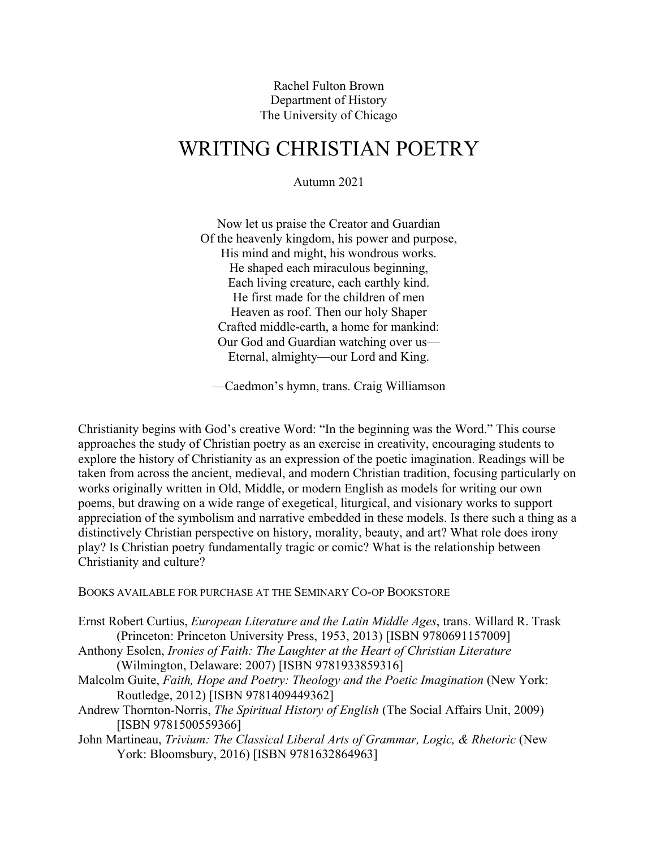Rachel Fulton Brown Department of History The University of Chicago

# WRITING CHRISTIAN POETRY

Autumn 2021

Now let us praise the Creator and Guardian Of the heavenly kingdom, his power and purpose, His mind and might, his wondrous works. He shaped each miraculous beginning, Each living creature, each earthly kind. He first made for the children of men Heaven as roof. Then our holy Shaper Crafted middle-earth, a home for mankind: Our God and Guardian watching over us— Eternal, almighty—our Lord and King.

—Caedmon's hymn, trans. Craig Williamson

Christianity begins with God's creative Word: "In the beginning was the Word." This course approaches the study of Christian poetry as an exercise in creativity, encouraging students to explore the history of Christianity as an expression of the poetic imagination. Readings will be taken from across the ancient, medieval, and modern Christian tradition, focusing particularly on works originally written in Old, Middle, or modern English as models for writing our own poems, but drawing on a wide range of exegetical, liturgical, and visionary works to support appreciation of the symbolism and narrative embedded in these models. Is there such a thing as a distinctively Christian perspective on history, morality, beauty, and art? What role does irony play? Is Christian poetry fundamentally tragic or comic? What is the relationship between Christianity and culture?

BOOKS AVAILABLE FOR PURCHASE AT THE SEMINARY CO-OP BOOKSTORE

- Ernst Robert Curtius, *European Literature and the Latin Middle Ages*, trans. Willard R. Trask (Princeton: Princeton University Press, 1953, 2013) [ISBN 9780691157009]
- Anthony Esolen, *Ironies of Faith: The Laughter at the Heart of Christian Literature* (Wilmington, Delaware: 2007) [ISBN 9781933859316]
- Malcolm Guite, *Faith, Hope and Poetry: Theology and the Poetic Imagination* (New York: Routledge, 2012) [ISBN 9781409449362]
- Andrew Thornton-Norris, *The Spiritual History of English* (The Social Affairs Unit, 2009) [ISBN 9781500559366]
- John Martineau, *Trivium: The Classical Liberal Arts of Grammar, Logic, & Rhetoric* (New York: Bloomsbury, 2016) [ISBN 9781632864963]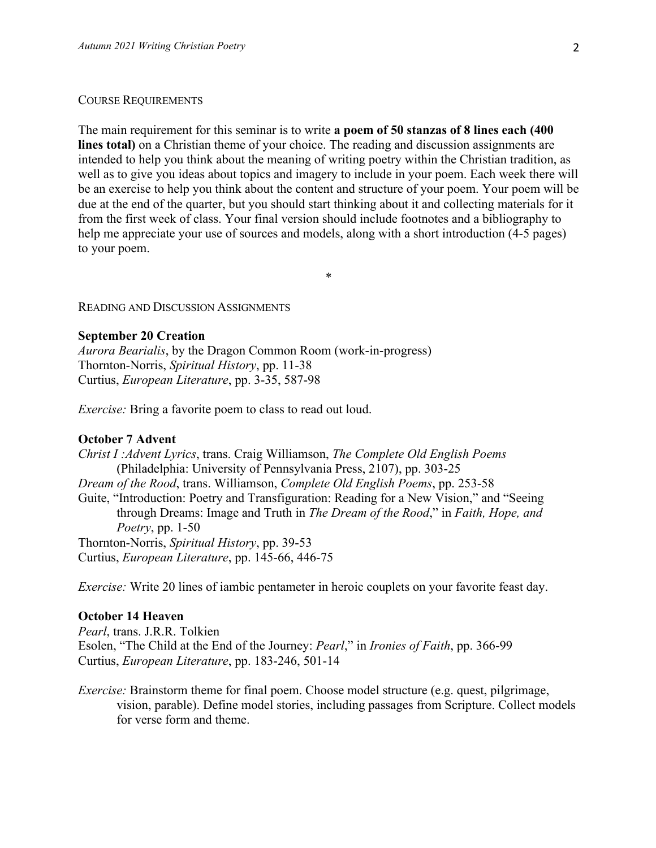#### COURSE REQUIREMENTS

The main requirement for this seminar is to write **a poem of 50 stanzas of 8 lines each (400 lines total)** on a Christian theme of your choice. The reading and discussion assignments are intended to help you think about the meaning of writing poetry within the Christian tradition, as well as to give you ideas about topics and imagery to include in your poem. Each week there will be an exercise to help you think about the content and structure of your poem. Your poem will be due at the end of the quarter, but you should start thinking about it and collecting materials for it from the first week of class. Your final version should include footnotes and a bibliography to help me appreciate your use of sources and models, along with a short introduction (4-5 pages) to your poem.

\*

READING AND DISCUSSION ASSIGNMENTS

#### **September 20 Creation**

*Aurora Bearialis*, by the Dragon Common Room (work-in-progress) Thornton-Norris, *Spiritual History*, pp. 11-38 Curtius, *European Literature*, pp. 3-35, 587-98

*Exercise:* Bring a favorite poem to class to read out loud.

# **October 7 Advent**

*Christ I :Advent Lyrics*, trans. Craig Williamson, *The Complete Old English Poems* (Philadelphia: University of Pennsylvania Press, 2107), pp. 303-25 *Dream of the Rood*, trans. Williamson, *Complete Old English Poems*, pp. 253-58 Guite, "Introduction: Poetry and Transfiguration: Reading for a New Vision," and "Seeing through Dreams: Image and Truth in *The Dream of the Rood*," in *Faith, Hope, and Poetry*, pp. 1-50 Thornton-Norris, *Spiritual History*, pp. 39-53 Curtius, *European Literature*, pp. 145-66, 446-75

*Exercise:* Write 20 lines of iambic pentameter in heroic couplets on your favorite feast day.

#### **October 14 Heaven**

*Pearl*, trans. J.R.R. Tolkien Esolen, "The Child at the End of the Journey: *Pearl*," in *Ironies of Faith*, pp. 366-99 Curtius, *European Literature*, pp. 183-246, 501-14

*Exercise:* Brainstorm theme for final poem. Choose model structure (e.g. quest, pilgrimage, vision, parable). Define model stories, including passages from Scripture. Collect models for verse form and theme.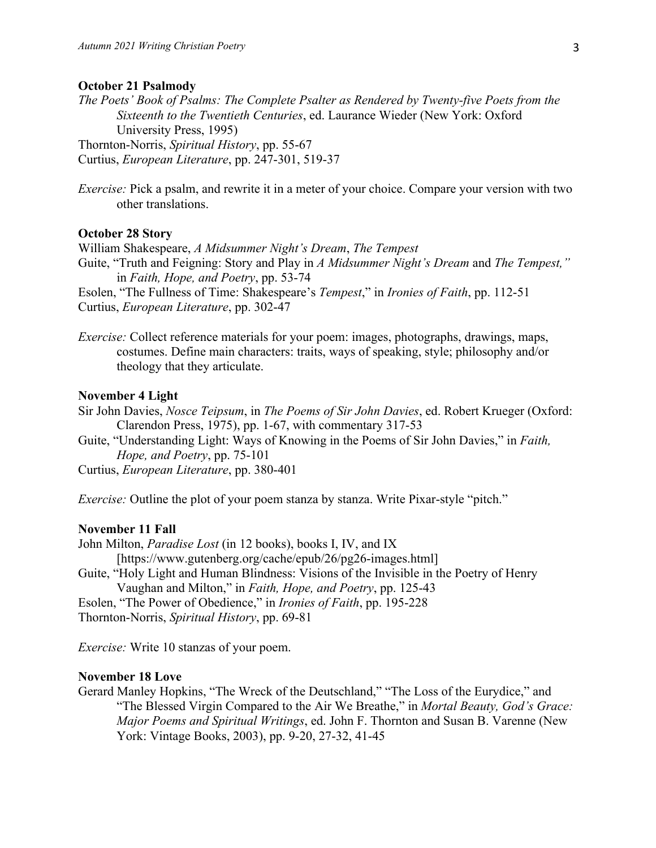#### **October 21 Psalmody**

*The Poets' Book of Psalms: The Complete Psalter as Rendered by Twenty-five Poets from the Sixteenth to the Twentieth Centuries*, ed. Laurance Wieder (New York: Oxford University Press, 1995) Thornton-Norris, *Spiritual History*, pp. 55-67 Curtius, *European Literature*, pp. 247-301, 519-37

*Exercise:* Pick a psalm, and rewrite it in a meter of your choice. Compare your version with two

other translations.

# **October 28 Story**

William Shakespeare, *A Midsummer Night's Dream*, *The Tempest* Guite, "Truth and Feigning: Story and Play in *A Midsummer Night's Dream* and *The Tempest,"* in *Faith, Hope, and Poetry*, pp. 53-74 Esolen, "The Fullness of Time: Shakespeare's *Tempest*," in *Ironies of Faith*, pp. 112-51

Curtius, *European Literature*, pp. 302-47

*Exercise:* Collect reference materials for your poem: images, photographs, drawings, maps, costumes. Define main characters: traits, ways of speaking, style; philosophy and/or theology that they articulate.

# **November 4 Light**

- Sir John Davies, *Nosce Teipsum*, in *The Poems of Sir John Davies*, ed. Robert Krueger (Oxford: Clarendon Press, 1975), pp. 1-67, with commentary 317-53
- Guite, "Understanding Light: Ways of Knowing in the Poems of Sir John Davies," in *Faith, Hope, and Poetry*, pp. 75-101

Curtius, *European Literature*, pp. 380-401

*Exercise:* Outline the plot of your poem stanza by stanza. Write Pixar-style "pitch."

### **November 11 Fall**

John Milton, *Paradise Lost* (in 12 books), books I, IV, and IX [https://www.gutenberg.org/cache/epub/26/pg26-images.html] Guite, "Holy Light and Human Blindness: Visions of the Invisible in the Poetry of Henry Vaughan and Milton," in *Faith, Hope, and Poetry*, pp. 125-43 Esolen, "The Power of Obedience," in *Ironies of Faith*, pp. 195-228

Thornton-Norris, *Spiritual History*, pp. 69-81

*Exercise:* Write 10 stanzas of your poem.

# **November 18 Love**

Gerard Manley Hopkins, "The Wreck of the Deutschland," "The Loss of the Eurydice," and "The Blessed Virgin Compared to the Air We Breathe," in *Mortal Beauty, God's Grace: Major Poems and Spiritual Writings*, ed. John F. Thornton and Susan B. Varenne (New York: Vintage Books, 2003), pp. 9-20, 27-32, 41-45